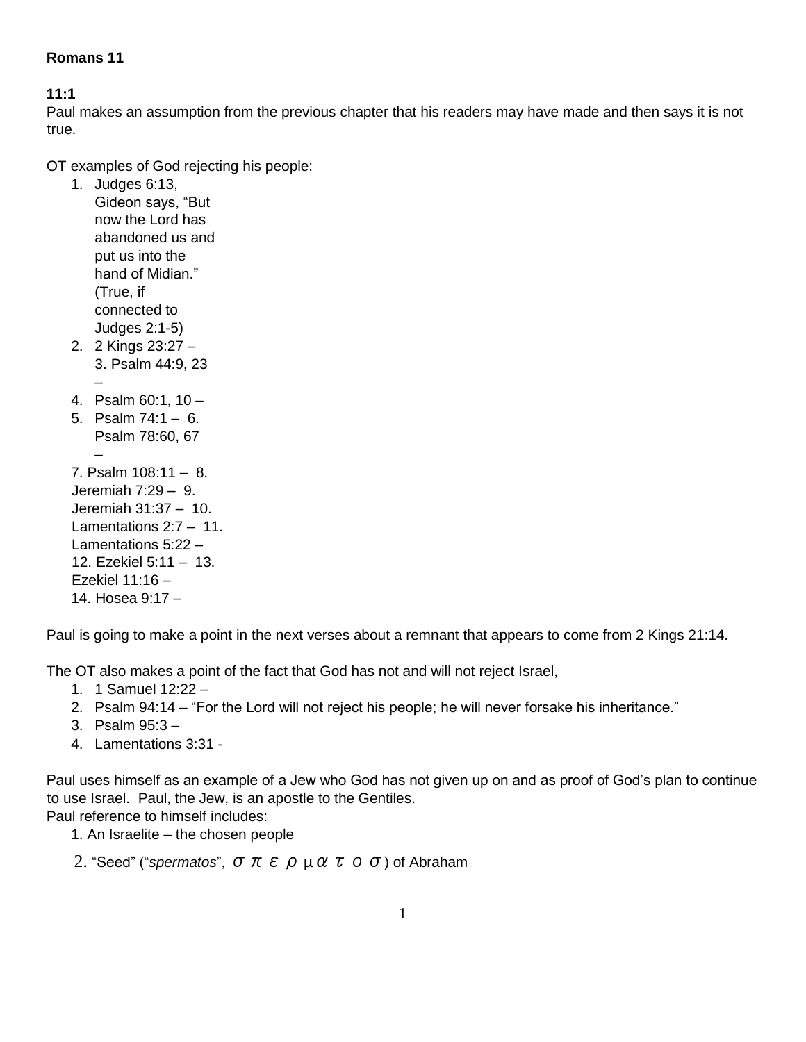### **Romans 11**

#### **11:1**

Paul makes an assumption from the previous chapter that his readers may have made and then says it is not true.

OT examples of God rejecting his people:

1. Judges 6:13, Gideon says, "But now the Lord has abandoned us and put us into the hand of Midian." (True, if connected to Judges 2:1-5) 2. 2 Kings 23:27 – 3. Psalm 44:9, 23 – 4. Psalm 60:1, 10 – 5. Psalm 74:1 – 6. Psalm 78:60, 67 – 7. Psalm 108:11 – 8. Jeremiah 7:29 – 9. Jeremiah 31:37 – 10. Lamentations 2:7 – 11. Lamentations 5:22 – 12. Ezekiel 5:11 – 13. Ezekiel 11:16 – 14. Hosea 9:17 –

Paul is going to make a point in the next verses about a remnant that appears to come from 2 Kings 21:14.

The OT also makes a point of the fact that God has not and will not reject Israel,

- 1. 1 Samuel 12:22 –
- 2. Psalm 94:14 "For the Lord will not reject his people; he will never forsake his inheritance."
- 3. Psalm 95:3 –
- 4. Lamentations 3:31 -

Paul uses himself as an example of a Jew who God has not given up on and as proof of God's plan to continue to use Israel. Paul, the Jew, is an apostle to the Gentiles. Paul reference to himself includes:

1. An Israelite – the chosen people

2. "Seed" ("*spermatos*", σπερµατοσ) of Abraham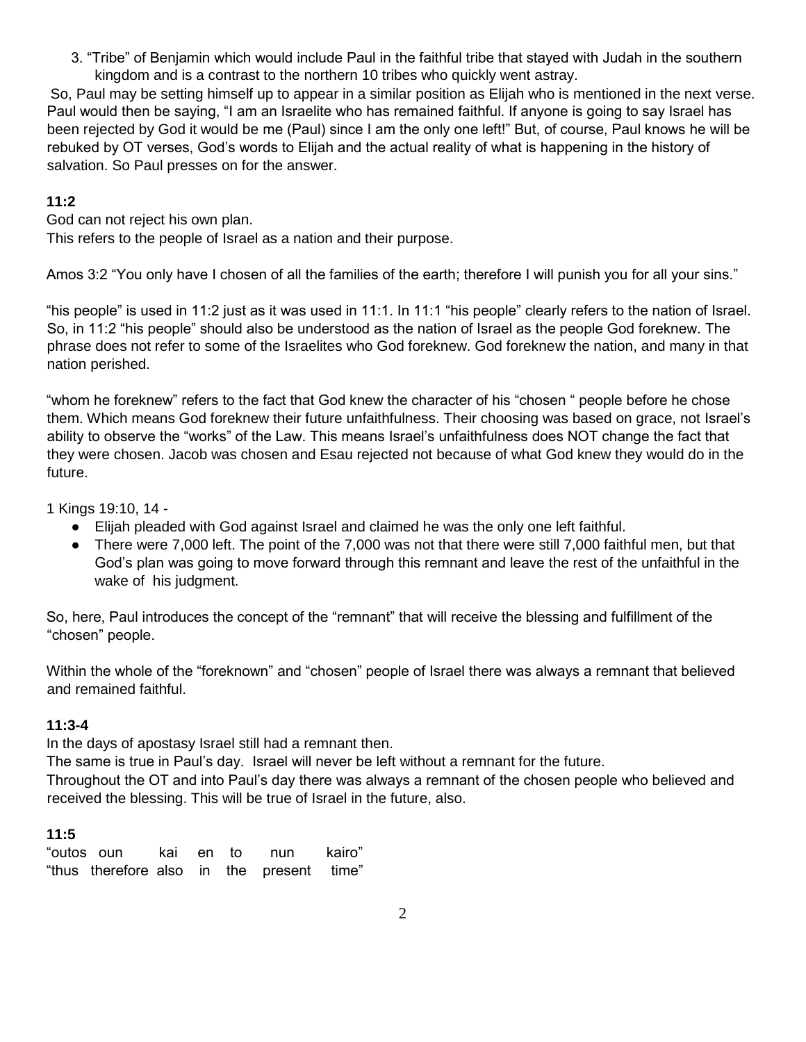3. "Tribe" of Benjamin which would include Paul in the faithful tribe that stayed with Judah in the southern kingdom and is a contrast to the northern 10 tribes who quickly went astray.

So, Paul may be setting himself up to appear in a similar position as Elijah who is mentioned in the next verse. Paul would then be saying, "I am an Israelite who has remained faithful. If anyone is going to say Israel has been rejected by God it would be me (Paul) since I am the only one left!" But, of course, Paul knows he will be rebuked by OT verses, God's words to Elijah and the actual reality of what is happening in the history of salvation. So Paul presses on for the answer.

#### **11:2**

God can not reject his own plan. This refers to the people of Israel as a nation and their purpose.

Amos 3:2 "You only have I chosen of all the families of the earth; therefore I will punish you for all your sins."

"his people" is used in 11:2 just as it was used in 11:1. In 11:1 "his people" clearly refers to the nation of Israel. So, in 11:2 "his people" should also be understood as the nation of Israel as the people God foreknew. The phrase does not refer to some of the Israelites who God foreknew. God foreknew the nation, and many in that nation perished.

"whom he foreknew" refers to the fact that God knew the character of his "chosen " people before he chose them. Which means God foreknew their future unfaithfulness. Their choosing was based on grace, not Israel's ability to observe the "works" of the Law. This means Israel's unfaithfulness does NOT change the fact that they were chosen. Jacob was chosen and Esau rejected not because of what God knew they would do in the future.

1 Kings 19:10, 14 -

- Elijah pleaded with God against Israel and claimed he was the only one left faithful.
- There were 7,000 left. The point of the 7,000 was not that there were still 7,000 faithful men, but that God's plan was going to move forward through this remnant and leave the rest of the unfaithful in the wake of his judgment.

So, here, Paul introduces the concept of the "remnant" that will receive the blessing and fulfillment of the "chosen" people.

Within the whole of the "foreknown" and "chosen" people of Israel there was always a remnant that believed and remained faithful.

### **11:3-4**

In the days of apostasy Israel still had a remnant then.

The same is true in Paul's day. Israel will never be left without a remnant for the future.

Throughout the OT and into Paul's day there was always a remnant of the chosen people who believed and received the blessing. This will be true of Israel in the future, also.

### **11:5**

| "outos oun   kai  en to  nun   kairo"     |  |  |  |
|-------------------------------------------|--|--|--|
| "thus therefore also in the present time" |  |  |  |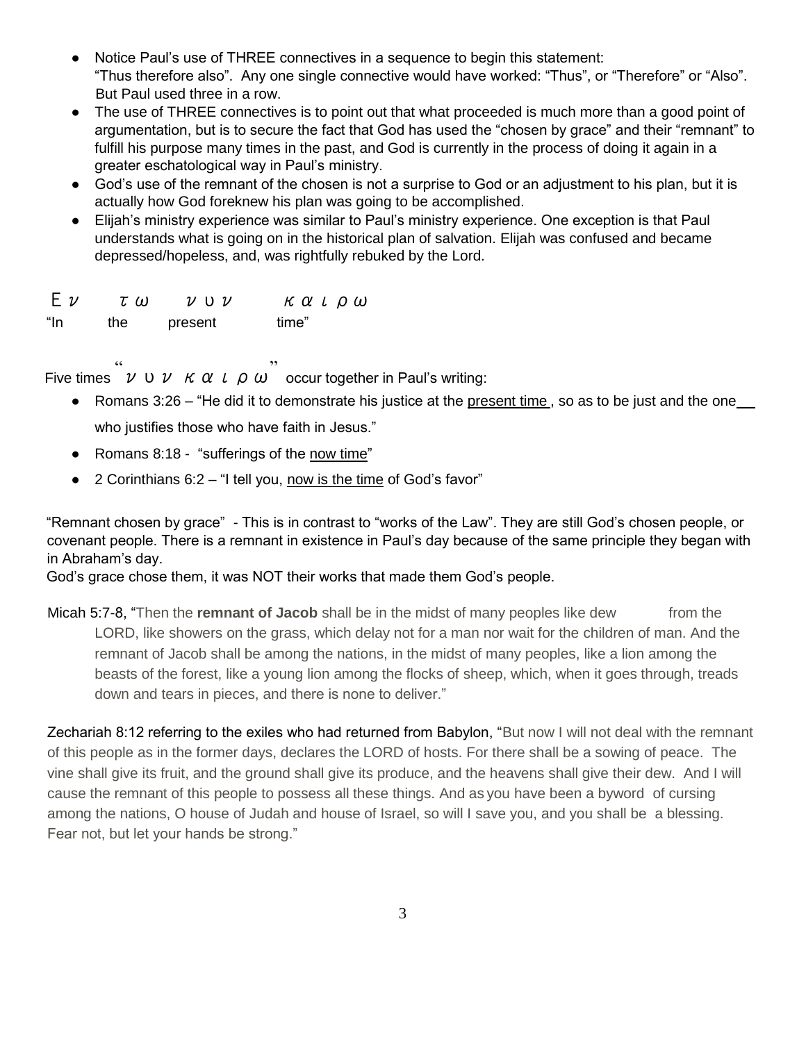- Notice Paul's use of THREE connectives in a sequence to begin this statement: "Thus therefore also". Any one single connective would have worked: "Thus", or "Therefore" or "Also". But Paul used three in a row.
- The use of THREE connectives is to point out that what proceeded is much more than a good point of argumentation, but is to secure the fact that God has used the "chosen by grace" and their "remnant" to fulfill his purpose many times in the past, and God is currently in the process of doing it again in a greater eschatological way in Paul's ministry.
- God's use of the remnant of the chosen is not a surprise to God or an adjustment to his plan, but it is actually how God foreknew his plan was going to be accomplished.
- Elijah's ministry experience was similar to Paul's ministry experience. One exception is that Paul understands what is going on in the historical plan of salvation. Elijah was confused and became depressed/hopeless, and, was rightfully rebuked by the Lord.

| $E$ $\nu$ | τω  | $\nu$ v $\nu$ | καιρω |
|-----------|-----|---------------|-------|
| "In       | the | present       | time" |

Five times  $VUVK\alpha L\alpha W$  occur together in Paul's writing:

- $\bullet$  Romans 3:26 "He did it to demonstrate his justice at the present time, so as to be just and the one who justifies those who have faith in Jesus."
- Romans 8:18 "sufferings of the now time"
- $\bullet$  2 Corinthians 6:2 "I tell you, now is the time of God's favor"

"Remnant chosen by grace" - This is in contrast to "works of the Law". They are still God's chosen people, or covenant people. There is a remnant in existence in Paul's day because of the same principle they began with in Abraham's day.

God's grace chose them, it was NOT their works that made them God's people.

Micah 5:7-8, "Then the **remnant of Jacob** shall be in the midst of many peoples like dew from the LORD, like showers on the grass, which delay not for a man nor wait for the children of man. And the remnant of Jacob shall be among the nations, in the midst of many peoples, like a lion among the beasts of the forest, like a young lion among the flocks of sheep, which, when it goes through, treads down and tears in pieces, and there is none to deliver."

Zechariah 8:12 referring to the exiles who had returned from Babylon, "But now I will not deal with the remnant of this people as in the former days, declares the LORD of hosts. For there shall be a sowing of peace. The vine shall give its fruit, and the ground shall give its produce, and the heavens shall give their dew. And I will cause the remnant of this people to possess all these things. And as you have been a byword of cursing among the nations, O house of Judah and house of Israel, so will I save you, and you shall be a blessing. Fear not, but let your hands be strong."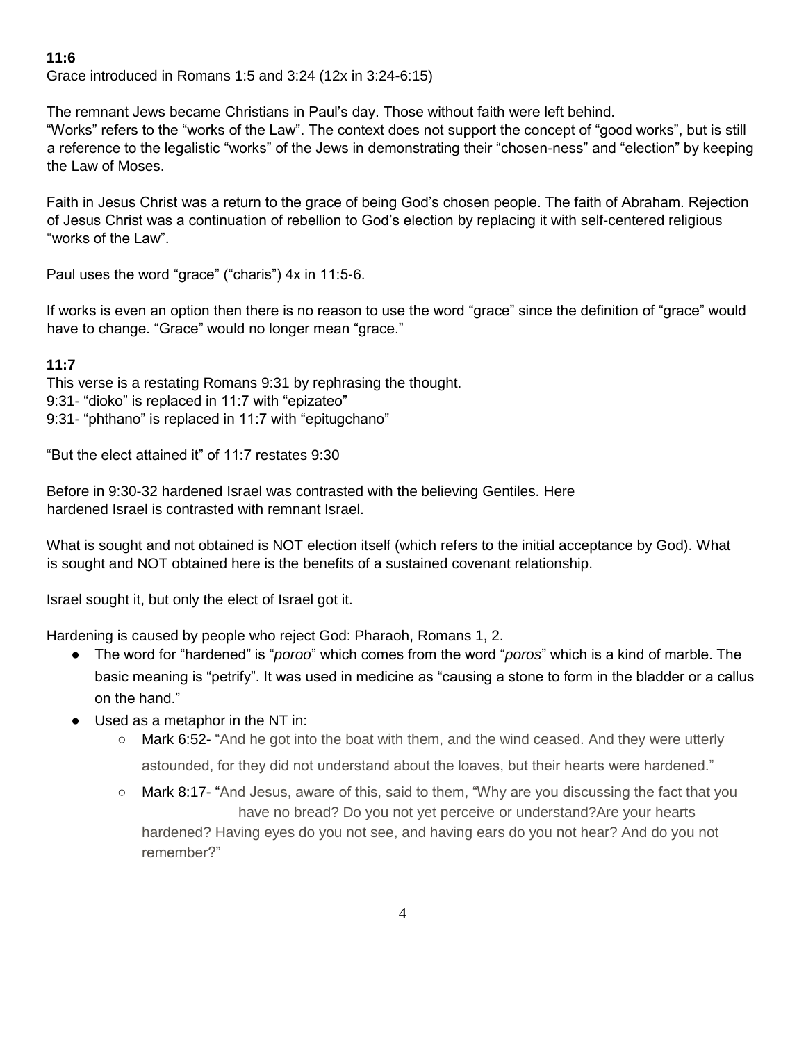### **11:6**

Grace introduced in Romans 1:5 and 3:24 (12x in 3:24-6:15)

The remnant Jews became Christians in Paul's day. Those without faith were left behind.

"Works" refers to the "works of the Law". The context does not support the concept of "good works", but is still a reference to the legalistic "works" of the Jews in demonstrating their "chosen-ness" and "election" by keeping the Law of Moses.

Faith in Jesus Christ was a return to the grace of being God's chosen people. The faith of Abraham. Rejection of Jesus Christ was a continuation of rebellion to God's election by replacing it with self-centered religious "works of the Law".

Paul uses the word "grace" ("charis") 4x in 11:5-6.

If works is even an option then there is no reason to use the word "grace" since the definition of "grace" would have to change. "Grace" would no longer mean "grace."

### **11:7**

This verse is a restating Romans 9:31 by rephrasing the thought. 9:31- "dioko" is replaced in 11:7 with "epizateo" 9:31- "phthano" is replaced in 11:7 with "epitugchano"

"But the elect attained it" of 11:7 restates 9:30

Before in 9:30-32 hardened Israel was contrasted with the believing Gentiles. Here hardened Israel is contrasted with remnant Israel.

What is sought and not obtained is NOT election itself (which refers to the initial acceptance by God). What is sought and NOT obtained here is the benefits of a sustained covenant relationship.

Israel sought it, but only the elect of Israel got it.

Hardening is caused by people who reject God: Pharaoh, Romans 1, 2.

- The word for "hardened" is "*poroo*" which comes from the word "*poros*" which is a kind of marble. The basic meaning is "petrify". It was used in medicine as "causing a stone to form in the bladder or a callus on the hand."
- Used as a metaphor in the NT in:
	- Mark 6:52- "And he got into the boat with them, and the wind ceased. And they were utterly astounded, for they did not understand about the loaves, but their hearts were hardened."
	- Mark 8:17- "And Jesus, aware of this, said to them, "Why are you discussing the fact that you have no bread? Do you not yet perceive or understand?Are your hearts hardened? Having eyes do you not see, and having ears do you not hear? And do you not remember?"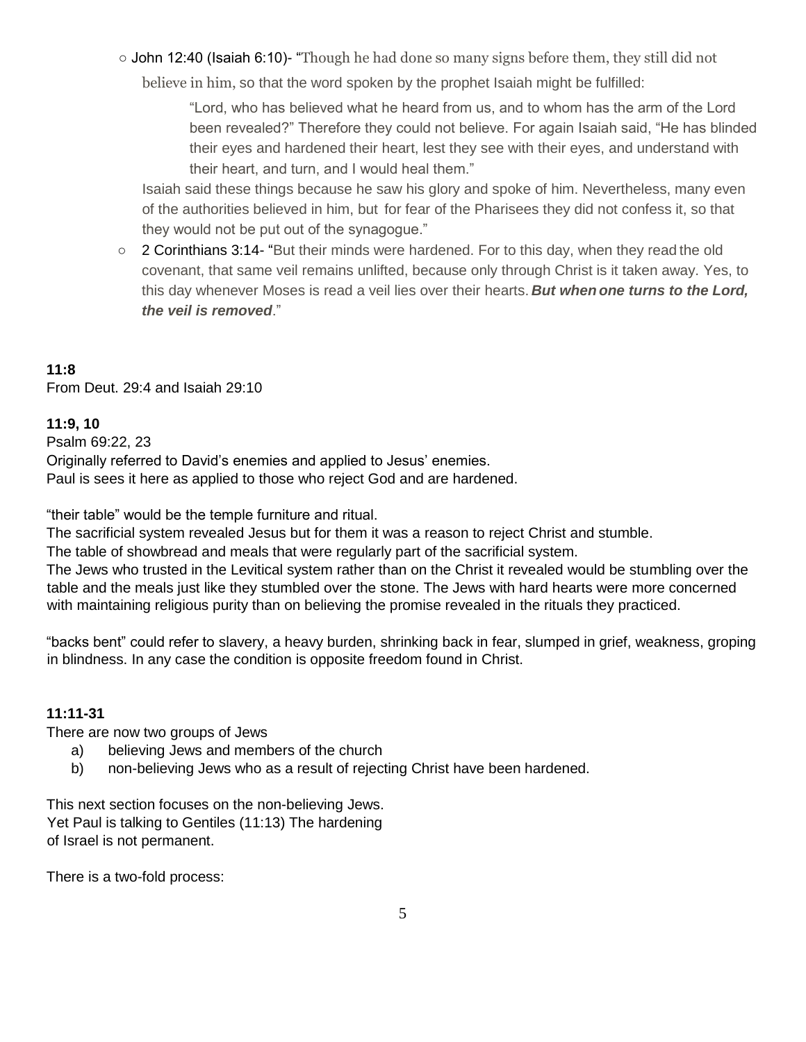○ John 12:40 (Isaiah 6:10)- "Though he had done so many signs before them, they still did not

believe in him, so that the word spoken by the prophet Isaiah might be fulfilled:

"Lord, who has believed what he heard from us, and to whom has the arm of the Lord been revealed?" Therefore they could not believe. For again Isaiah said, "He has blinded their eyes and hardened their heart, lest they see with their eyes, and understand with their heart, and turn, and I would heal them."

Isaiah said these things because he saw his glory and spoke of him. Nevertheless, many even of the authorities believed in him, but for fear of the Pharisees they did not confess it, so that they would not be put out of the synagogue."

○ 2 Corinthians 3:14- "But their minds were hardened. For to this day, when they read the old covenant, that same veil remains unlifted, because only through Christ is it taken away. Yes, to this day whenever Moses is read a veil lies over their hearts. *But when one turns to the Lord, the veil is removed*."

# **11:8**

From Deut. 29:4 and Isaiah 29:10

#### **11:9, 10**

Psalm 69:22, 23 Originally referred to David's enemies and applied to Jesus' enemies. Paul is sees it here as applied to those who reject God and are hardened.

"their table" would be the temple furniture and ritual.

The sacrificial system revealed Jesus but for them it was a reason to reject Christ and stumble.

The table of showbread and meals that were regularly part of the sacrificial system.

The Jews who trusted in the Levitical system rather than on the Christ it revealed would be stumbling over the table and the meals just like they stumbled over the stone. The Jews with hard hearts were more concerned with maintaining religious purity than on believing the promise revealed in the rituals they practiced.

"backs bent" could refer to slavery, a heavy burden, shrinking back in fear, slumped in grief, weakness, groping in blindness. In any case the condition is opposite freedom found in Christ.

### **11:11-31**

There are now two groups of Jews

- a) believing Jews and members of the church
- b) non-believing Jews who as a result of rejecting Christ have been hardened.

This next section focuses on the non-believing Jews. Yet Paul is talking to Gentiles (11:13) The hardening of Israel is not permanent.

There is a two-fold process: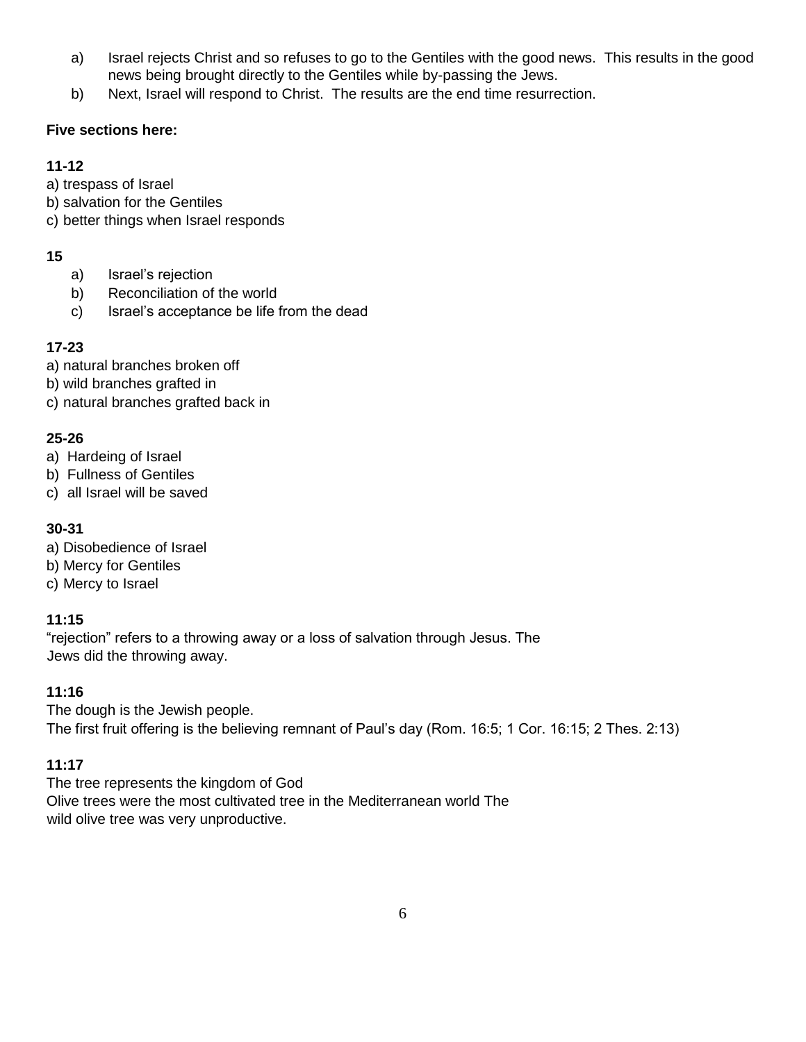- a) Israel rejects Christ and so refuses to go to the Gentiles with the good news. This results in the good news being brought directly to the Gentiles while by-passing the Jews.
- b) Next, Israel will respond to Christ. The results are the end time resurrection.

### **Five sections here:**

## **11-12**

- a) trespass of Israel
- b) salvation for the Gentiles
- c) better things when Israel responds

# **15**

- a) Israel's rejection
- b) Reconciliation of the world
- c) Israel's acceptance be life from the dead

# **17-23**

- a) natural branches broken off
- b) wild branches grafted in
- c) natural branches grafted back in

## **25-26**

- a) Hardeing of Israel
- b) Fullness of Gentiles
- c) all Israel will be saved

## **30-31**

- a) Disobedience of Israel
- b) Mercy for Gentiles
- c) Mercy to Israel

## **11:15**

"rejection" refers to a throwing away or a loss of salvation through Jesus. The Jews did the throwing away.

### **11:16**

The dough is the Jewish people. The first fruit offering is the believing remnant of Paul's day (Rom. 16:5; 1 Cor. 16:15; 2 Thes. 2:13)

## **11:17**

The tree represents the kingdom of God Olive trees were the most cultivated tree in the Mediterranean world The wild olive tree was very unproductive.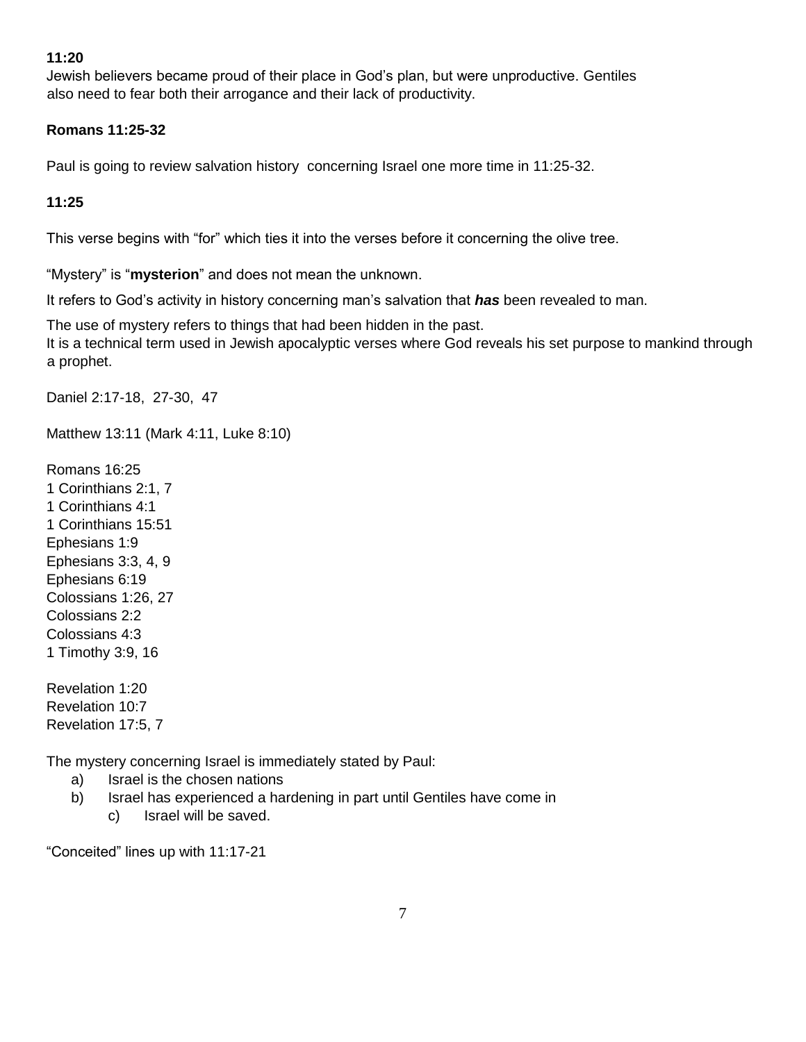#### **11:20**

Jewish believers became proud of their place in God's plan, but were unproductive. Gentiles also need to fear both their arrogance and their lack of productivity.

#### **Romans 11:25-32**

Paul is going to review salvation history concerning Israel one more time in 11:25-32.

**11:25**

This verse begins with "for" which ties it into the verses before it concerning the olive tree.

"Mystery" is "**mysterion**" and does not mean the unknown.

It refers to God's activity in history concerning man's salvation that *has* been revealed to man.

The use of mystery refers to things that had been hidden in the past. It is a technical term used in Jewish apocalyptic verses where God reveals his set purpose to mankind through a prophet.

Daniel 2:17-18, 27-30, 47

Matthew 13:11 (Mark 4:11, Luke 8:10)

Romans 16:25 1 Corinthians 2:1, 7 1 Corinthians 4:1 1 Corinthians 15:51 Ephesians 1:9 Ephesians 3:3, 4, 9 Ephesians 6:19 Colossians 1:26, 27 Colossians 2:2 Colossians 4:3 1 Timothy 3:9, 16

Revelation 1:20 Revelation 10:7 Revelation 17:5, 7

The mystery concerning Israel is immediately stated by Paul:

- a) Israel is the chosen nations
- b) Israel has experienced a hardening in part until Gentiles have come in
	- c) Israel will be saved.

"Conceited" lines up with 11:17-21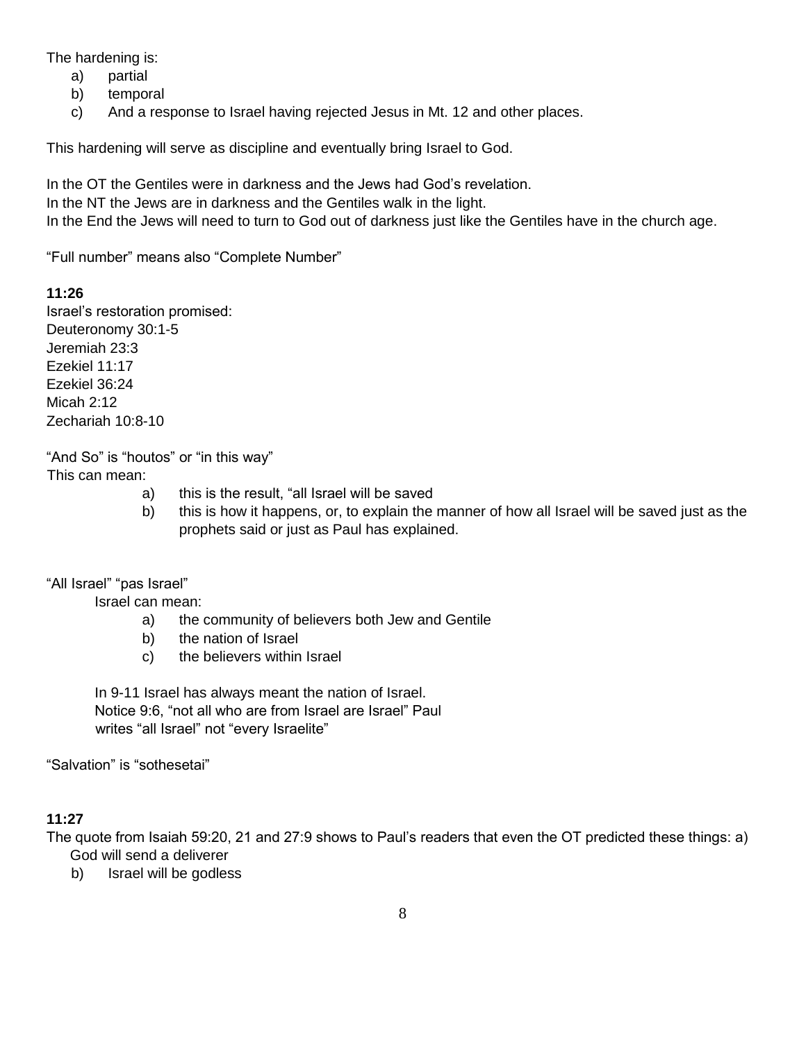The hardening is:

- a) partial
- b) temporal
- c) And a response to Israel having rejected Jesus in Mt. 12 and other places.

This hardening will serve as discipline and eventually bring Israel to God.

In the OT the Gentiles were in darkness and the Jews had God's revelation.

In the NT the Jews are in darkness and the Gentiles walk in the light.

In the End the Jews will need to turn to God out of darkness just like the Gentiles have in the church age.

"Full number" means also "Complete Number"

#### **11:26**

Israel's restoration promised: Deuteronomy 30:1-5 Jeremiah 23:3 Ezekiel 11:17 Ezekiel 36:24 Micah 2:12 Zechariah 10:8-10

"And So" is "houtos" or "in this way" This can mean:

- a) this is the result, "all Israel will be saved
- b) this is how it happens, or, to explain the manner of how all Israel will be saved just as the prophets said or just as Paul has explained.

"All Israel" "pas Israel"

Israel can mean:

- a) the community of believers both Jew and Gentile
- b) the nation of Israel
- c) the believers within Israel

In 9-11 Israel has always meant the nation of Israel. Notice 9:6, "not all who are from Israel are Israel" Paul writes "all Israel" not "every Israelite"

"Salvation" is "sothesetai"

### **11:27**

The quote from Isaiah 59:20, 21 and 27:9 shows to Paul's readers that even the OT predicted these things: a) God will send a deliverer

b) Israel will be godless